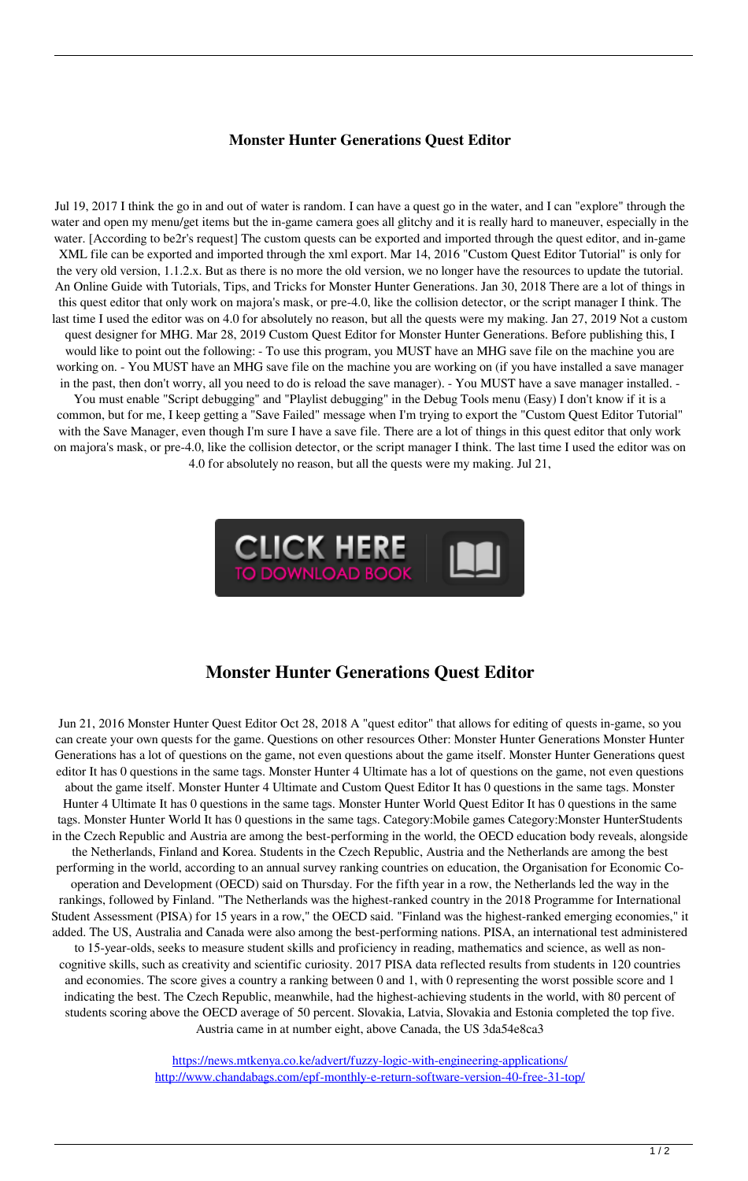## **Monster Hunter Generations Quest Editor**

Jul 19, 2017 I think the go in and out of water is random. I can have a quest go in the water, and I can "explore" through the water and open my menu/get items but the in-game camera goes all glitchy and it is really hard to maneuver, especially in the water. [According to be2r's request] The custom quests can be exported and imported through the quest editor, and in-game XML file can be exported and imported through the xml export. Mar 14, 2016 "Custom Quest Editor Tutorial" is only for the very old version, 1.1.2.x. But as there is no more the old version, we no longer have the resources to update the tutorial. An Online Guide with Tutorials, Tips, and Tricks for Monster Hunter Generations. Jan 30, 2018 There are a lot of things in this quest editor that only work on majora's mask, or pre-4.0, like the collision detector, or the script manager I think. The last time I used the editor was on 4.0 for absolutely no reason, but all the quests were my making. Jan 27, 2019 Not a custom quest designer for MHG. Mar 28, 2019 Custom Quest Editor for Monster Hunter Generations. Before publishing this, I would like to point out the following: - To use this program, you MUST have an MHG save file on the machine you are working on. - You MUST have an MHG save file on the machine you are working on (if you have installed a save manager in the past, then don't worry, all you need to do is reload the save manager). - You MUST have a save manager installed. - You must enable "Script debugging" and "Playlist debugging" in the Debug Tools menu (Easy) I don't know if it is a common, but for me, I keep getting a "Save Failed" message when I'm trying to export the "Custom Quest Editor Tutorial" with the Save Manager, even though I'm sure I have a save file. There are a lot of things in this quest editor that only work on majora's mask, or pre-4.0, like the collision detector, or the script manager I think. The last time I used the editor was on

4.0 for absolutely no reason, but all the quests were my making. Jul 21,



## **Monster Hunter Generations Quest Editor**

Jun 21, 2016 Monster Hunter Quest Editor Oct 28, 2018 A "quest editor" that allows for editing of quests in-game, so you can create your own quests for the game. Questions on other resources Other: Monster Hunter Generations Monster Hunter Generations has a lot of questions on the game, not even questions about the game itself. Monster Hunter Generations quest editor It has 0 questions in the same tags. Monster Hunter 4 Ultimate has a lot of questions on the game, not even questions about the game itself. Monster Hunter 4 Ultimate and Custom Quest Editor It has 0 questions in the same tags. Monster Hunter 4 Ultimate It has 0 questions in the same tags. Monster Hunter World Quest Editor It has 0 questions in the same tags. Monster Hunter World It has 0 questions in the same tags. Category:Mobile games Category:Monster HunterStudents in the Czech Republic and Austria are among the best-performing in the world, the OECD education body reveals, alongside the Netherlands, Finland and Korea. Students in the Czech Republic, Austria and the Netherlands are among the best performing in the world, according to an annual survey ranking countries on education, the Organisation for Economic Cooperation and Development (OECD) said on Thursday. For the fifth year in a row, the Netherlands led the way in the rankings, followed by Finland. "The Netherlands was the highest-ranked country in the 2018 Programme for International Student Assessment (PISA) for 15 years in a row," the OECD said. "Finland was the highest-ranked emerging economies," it added. The US, Australia and Canada were also among the best-performing nations. PISA, an international test administered to 15-year-olds, seeks to measure student skills and proficiency in reading, mathematics and science, as well as noncognitive skills, such as creativity and scientific curiosity. 2017 PISA data reflected results from students in 120 countries and economies. The score gives a country a ranking between 0 and 1, with 0 representing the worst possible score and 1 indicating the best. The Czech Republic, meanwhile, had the highest-achieving students in the world, with 80 percent of students scoring above the OECD average of 50 percent. Slovakia, Latvia, Slovakia and Estonia completed the top five. Austria came in at number eight, above Canada, the US 3da54e8ca3

> <https://news.mtkenya.co.ke/advert/fuzzy-logic-with-engineering-applications/> <http://www.chandabags.com/epf-monthly-e-return-software-version-40-free-31-top/>